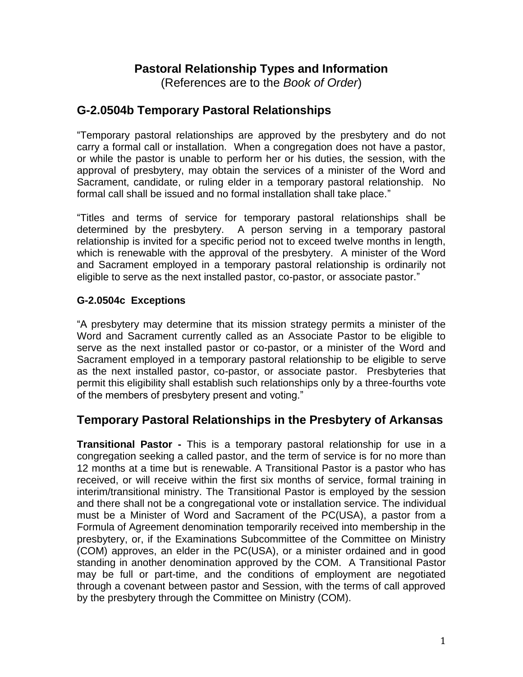# **Pastoral Relationship Types and Information**

(References are to the *Book of Order*)

## **G-2.0504b Temporary Pastoral Relationships**

"Temporary pastoral relationships are approved by the presbytery and do not carry a formal call or installation. When a congregation does not have a pastor, or while the pastor is unable to perform her or his duties, the session, with the approval of presbytery, may obtain the services of a minister of the Word and Sacrament, candidate, or ruling elder in a temporary pastoral relationship. No formal call shall be issued and no formal installation shall take place."

"Titles and terms of service for temporary pastoral relationships shall be determined by the presbytery. A person serving in a temporary pastoral relationship is invited for a specific period not to exceed twelve months in length, which is renewable with the approval of the presbytery. A minister of the Word and Sacrament employed in a temporary pastoral relationship is ordinarily not eligible to serve as the next installed pastor, co-pastor, or associate pastor."

#### **G-2.0504c Exceptions**

"A presbytery may determine that its mission strategy permits a minister of the Word and Sacrament currently called as an Associate Pastor to be eligible to serve as the next installed pastor or co-pastor, or a minister of the Word and Sacrament employed in a temporary pastoral relationship to be eligible to serve as the next installed pastor, co-pastor, or associate pastor. Presbyteries that permit this eligibility shall establish such relationships only by a three-fourths vote of the members of presbytery present and voting."

# **Temporary Pastoral Relationships in the Presbytery of Arkansas**

**Transitional Pastor -** This is a temporary pastoral relationship for use in a congregation seeking a called pastor, and the term of service is for no more than 12 months at a time but is renewable. A Transitional Pastor is a pastor who has received, or will receive within the first six months of service, formal training in interim/transitional ministry. The Transitional Pastor is employed by the session and there shall not be a congregational vote or installation service. The individual must be a Minister of Word and Sacrament of the PC(USA), a pastor from a Formula of Agreement denomination temporarily received into membership in the presbytery, or, if the Examinations Subcommittee of the Committee on Ministry (COM) approves, an elder in the PC(USA), or a minister ordained and in good standing in another denomination approved by the COM. A Transitional Pastor may be full or part-time, and the conditions of employment are negotiated through a covenant between pastor and Session, with the terms of call approved by the presbytery through the Committee on Ministry (COM).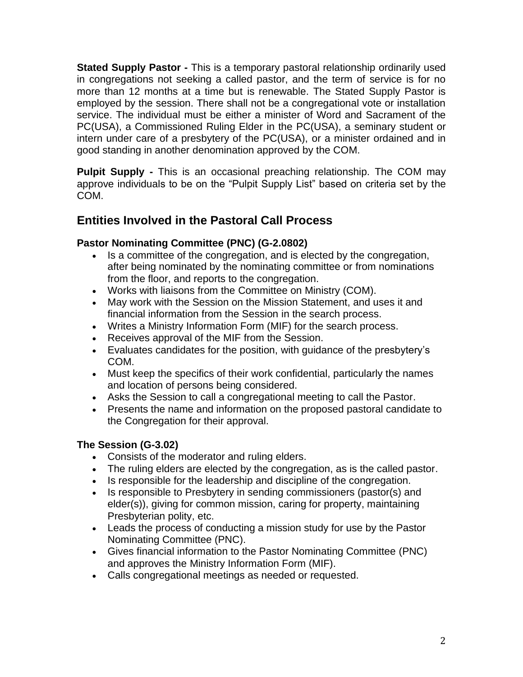**Stated Supply Pastor -** This is a temporary pastoral relationship ordinarily used in congregations not seeking a called pastor, and the term of service is for no more than 12 months at a time but is renewable. The Stated Supply Pastor is employed by the session. There shall not be a congregational vote or installation service. The individual must be either a minister of Word and Sacrament of the PC(USA), a Commissioned Ruling Elder in the PC(USA), a seminary student or intern under care of a presbytery of the PC(USA), or a minister ordained and in good standing in another denomination approved by the COM.

**Pulpit Supply -** This is an occasional preaching relationship. The COM may approve individuals to be on the "Pulpit Supply List" based on criteria set by the COM.

# **Entities Involved in the Pastoral Call Process**

### **Pastor Nominating Committee (PNC) (G-2.0802)**

- Is a committee of the congregation, and is elected by the congregation, after being nominated by the nominating committee or from nominations from the floor, and reports to the congregation.
- Works with liaisons from the Committee on Ministry (COM).
- May work with the Session on the Mission Statement, and uses it and financial information from the Session in the search process.
- Writes a Ministry Information Form (MIF) for the search process.
- Receives approval of the MIF from the Session.
- Evaluates candidates for the position, with guidance of the presbytery's COM.
- Must keep the specifics of their work confidential, particularly the names and location of persons being considered.
- Asks the Session to call a congregational meeting to call the Pastor.
- Presents the name and information on the proposed pastoral candidate to the Congregation for their approval.

### **The Session (G-3.02)**

- Consists of the moderator and ruling elders.
- The ruling elders are elected by the congregation, as is the called pastor.
- Is responsible for the leadership and discipline of the congregation.
- Is responsible to Presbytery in sending commissioners (pastor(s) and elder(s)), giving for common mission, caring for property, maintaining Presbyterian polity, etc.
- Leads the process of conducting a mission study for use by the Pastor Nominating Committee (PNC).
- Gives financial information to the Pastor Nominating Committee (PNC) and approves the Ministry Information Form (MIF).
- Calls congregational meetings as needed or requested.